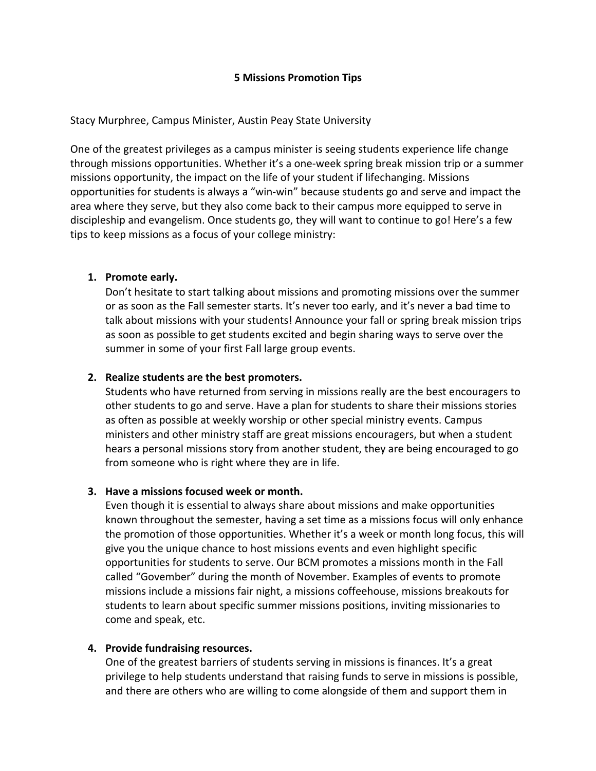### **5 Missions Promotion Tips**

### Stacy Murphree, Campus Minister, Austin Peay State University

One of the greatest privileges as a campus minister is seeing students experience life change through missions opportunities. Whether it's a one-week spring break mission trip or a summer missions opportunity, the impact on the life of your student if lifechanging. Missions opportunities for students is always a "win-win" because students go and serve and impact the area where they serve, but they also come back to their campus more equipped to serve in discipleship and evangelism. Once students go, they will want to continue to go! Here's a few tips to keep missions as a focus of your college ministry:

### **1. Promote early.**

Don't hesitate to start talking about missions and promoting missions over the summer or as soon as the Fall semester starts. It's never too early, and it's never a bad time to talk about missions with your students! Announce your fall or spring break mission trips as soon as possible to get students excited and begin sharing ways to serve over the summer in some of your first Fall large group events.

### **2. Realize students are the best promoters.**

Students who have returned from serving in missions really are the best encouragers to other students to go and serve. Have a plan for students to share their missions stories as often as possible at weekly worship or other special ministry events. Campus ministers and other ministry staff are great missions encouragers, but when a student hears a personal missions story from another student, they are being encouraged to go from someone who is right where they are in life.

#### **3. Have a missions focused week or month.**

Even though it is essential to always share about missions and make opportunities known throughout the semester, having a set time as a missions focus will only enhance the promotion of those opportunities. Whether it's a week or month long focus, this will give you the unique chance to host missions events and even highlight specific opportunities for students to serve. Our BCM promotes a missions month in the Fall called "Govember" during the month of November. Examples of events to promote missions include a missions fair night, a missions coffeehouse, missions breakouts for students to learn about specific summer missions positions, inviting missionaries to come and speak, etc.

## **4. Provide fundraising resources.**

One of the greatest barriers of students serving in missions is finances. It's a great privilege to help students understand that raising funds to serve in missions is possible, and there are others who are willing to come alongside of them and support them in